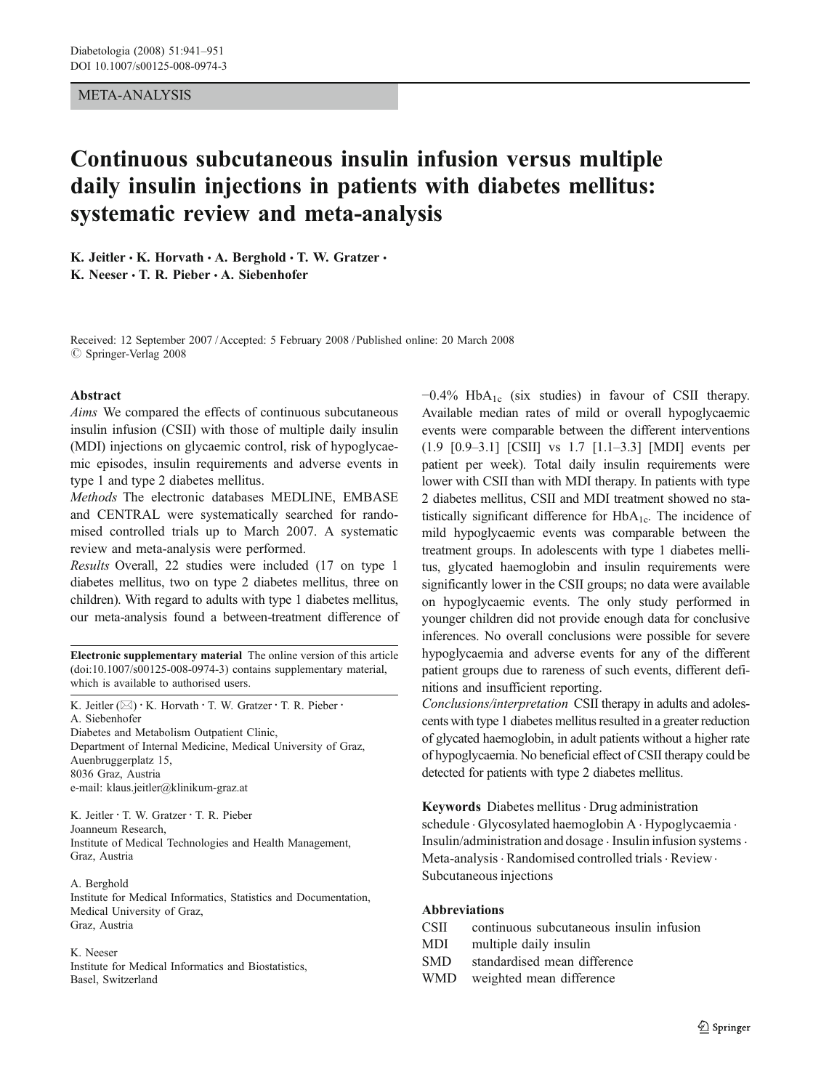## META-ANALYSIS

# Continuous subcutaneous insulin infusion versus multiple daily insulin injections in patients with diabetes mellitus: systematic review and meta-analysis

K. Jeitler  $\cdot$  K. Horvath  $\cdot$  A. Berghold  $\cdot$  T. W. Gratzer  $\cdot$ K. Neeser  $\cdot$  T. R. Pieber  $\cdot$  A. Siebenhofer

Received: 12 September 2007 /Accepted: 5 February 2008 / Published online: 20 March 2008  $\oslash$  Springer-Verlag 2008

#### Abstract

Aims We compared the effects of continuous subcutaneous insulin infusion (CSII) with those of multiple daily insulin (MDI) injections on glycaemic control, risk of hypoglycaemic episodes, insulin requirements and adverse events in type 1 and type 2 diabetes mellitus.

Methods The electronic databases MEDLINE, EMBASE and CENTRAL were systematically searched for randomised controlled trials up to March 2007. A systematic review and meta-analysis were performed.

Results Overall, 22 studies were included (17 on type 1 diabetes mellitus, two on type 2 diabetes mellitus, three on children). With regard to adults with type 1 diabetes mellitus, our meta-analysis found a between-treatment difference of

Electronic supplementary material The online version of this article (doi:[10.1007/s00125-008-0974-3](http://dx.doi.org/10.1007/s00125-008-0974-3)) contains supplementary material, which is available to authorised users.

K. Jeitler ( $\boxtimes$ ) · K. Horvath · T. W. Gratzer · T. R. Pieber · A. Siebenhofer Diabetes and Metabolism Outpatient Clinic, Department of Internal Medicine, Medical University of Graz, Auenbruggerplatz 15, 8036 Graz, Austria e-mail: klaus.jeitler@klinikum-graz.at

K. Jeitler : T. W. Gratzer : T. R. Pieber Joanneum Research, Institute of Medical Technologies and Health Management, Graz, Austria

#### A. Berghold

Institute for Medical Informatics, Statistics and Documentation, Medical University of Graz, Graz, Austria

#### K. Neeser

Institute for Medical Informatics and Biostatistics, Basel, Switzerland

 $-0.4\%$  HbA<sub>1c</sub> (six studies) in favour of CSII therapy. Available median rates of mild or overall hypoglycaemic events were comparable between the different interventions (1.9 [0.9–3.1] [CSII] vs 1.7 [1.1–3.3] [MDI] events per patient per week). Total daily insulin requirements were lower with CSII than with MDI therapy. In patients with type 2 diabetes mellitus, CSII and MDI treatment showed no statistically significant difference for  $HbA_{1c}$ . The incidence of mild hypoglycaemic events was comparable between the treatment groups. In adolescents with type 1 diabetes mellitus, glycated haemoglobin and insulin requirements were significantly lower in the CSII groups; no data were available on hypoglycaemic events. The only study performed in younger children did not provide enough data for conclusive inferences. No overall conclusions were possible for severe hypoglycaemia and adverse events for any of the different patient groups due to rareness of such events, different definitions and insufficient reporting.

Conclusions/interpretation CSII therapy in adults and adolescents with type 1 diabetes mellitus resulted in a greater reduction of glycated haemoglobin, in adult patients without a higher rate of hypoglycaemia. No beneficial effect of CSII therapy could be detected for patients with type 2 diabetes mellitus.

Keywords Diabetes mellitus · Drug administration schedule . Glycosylated haemoglobin A . Hypoglycaemia . Insulin/administration and dosage . Insulin infusion systems. Meta-analysis · Randomised controlled trials · Review · Subcutaneous injections

# Abbreviations

- CSII continuous subcutaneous insulin infusion
- MDI multiple daily insulin
- SMD standardised mean difference
- WMD weighted mean difference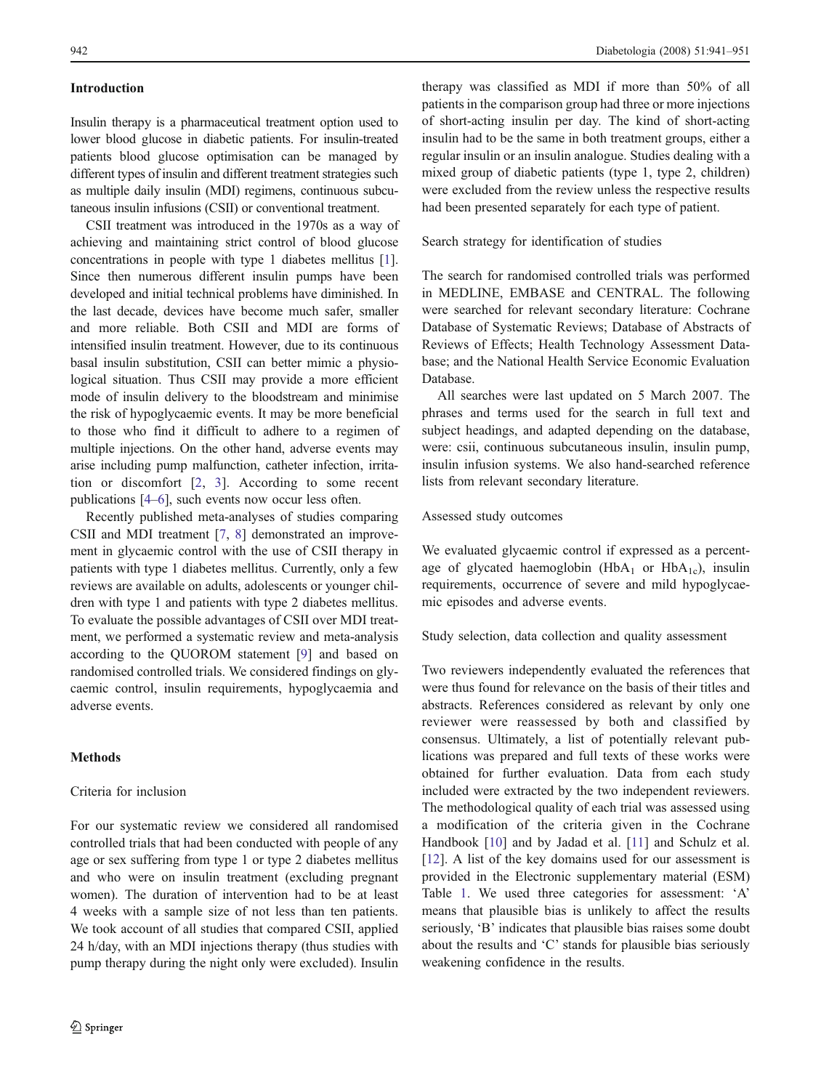# Introduction

Insulin therapy is a pharmaceutical treatment option used to lower blood glucose in diabetic patients. For insulin-treated patients blood glucose optimisation can be managed by different types of insulin and different treatment strategies such as multiple daily insulin (MDI) regimens, continuous subcutaneous insulin infusions (CSII) or conventional treatment.

CSII treatment was introduced in the 1970s as a way of achieving and maintaining strict control of blood glucose concentrations in people with type 1 diabetes mellitus [[1\]](#page-9-0). Since then numerous different insulin pumps have been developed and initial technical problems have diminished. In the last decade, devices have become much safer, smaller and more reliable. Both CSII and MDI are forms of intensified insulin treatment. However, due to its continuous basal insulin substitution, CSII can better mimic a physiological situation. Thus CSII may provide a more efficient mode of insulin delivery to the bloodstream and minimise the risk of hypoglycaemic events. It may be more beneficial to those who find it difficult to adhere to a regimen of multiple injections. On the other hand, adverse events may arise including pump malfunction, catheter infection, irritation or discomfort [[2,](#page-9-0) [3\]](#page-9-0). According to some recent publications [[4](#page-9-0)–[6](#page-9-0)], such events now occur less often.

Recently published meta-analyses of studies comparing CSII and MDI treatment [\[7](#page-9-0), [8](#page-9-0)] demonstrated an improvement in glycaemic control with the use of CSII therapy in patients with type 1 diabetes mellitus. Currently, only a few reviews are available on adults, adolescents or younger children with type 1 and patients with type 2 diabetes mellitus. To evaluate the possible advantages of CSII over MDI treatment, we performed a systematic review and meta-analysis according to the QUOROM statement [\[9](#page-9-0)] and based on randomised controlled trials. We considered findings on glycaemic control, insulin requirements, hypoglycaemia and adverse events.

## **Methods**

## Criteria for inclusion

For our systematic review we considered all randomised controlled trials that had been conducted with people of any age or sex suffering from type 1 or type 2 diabetes mellitus and who were on insulin treatment (excluding pregnant women). The duration of intervention had to be at least 4 weeks with a sample size of not less than ten patients. We took account of all studies that compared CSII, applied 24 h/day, with an MDI injections therapy (thus studies with pump therapy during the night only were excluded). Insulin

therapy was classified as MDI if more than 50% of all patients in the comparison group had three or more injections of short-acting insulin per day. The kind of short-acting insulin had to be the same in both treatment groups, either a regular insulin or an insulin analogue. Studies dealing with a mixed group of diabetic patients (type 1, type 2, children) were excluded from the review unless the respective results had been presented separately for each type of patient.

Search strategy for identification of studies

The search for randomised controlled trials was performed in MEDLINE, EMBASE and CENTRAL. The following were searched for relevant secondary literature: Cochrane Database of Systematic Reviews; Database of Abstracts of Reviews of Effects; Health Technology Assessment Database; and the National Health Service Economic Evaluation Database.

All searches were last updated on 5 March 2007. The phrases and terms used for the search in full text and subject headings, and adapted depending on the database, were: csii, continuous subcutaneous insulin, insulin pump, insulin infusion systems. We also hand-searched reference lists from relevant secondary literature.

## Assessed study outcomes

We evaluated glycaemic control if expressed as a percentage of glycated haemoglobin (HbA<sub>1</sub> or HbA<sub>1c</sub>), insulin requirements, occurrence of severe and mild hypoglycaemic episodes and adverse events.

Study selection, data collection and quality assessment

Two reviewers independently evaluated the references that were thus found for relevance on the basis of their titles and abstracts. References considered as relevant by only one reviewer were reassessed by both and classified by consensus. Ultimately, a list of potentially relevant publications was prepared and full texts of these works were obtained for further evaluation. Data from each study included were extracted by the two independent reviewers. The methodological quality of each trial was assessed using a modification of the criteria given in the Cochrane Handbook [[10\]](#page-9-0) and by Jadad et al. [[11\]](#page-9-0) and Schulz et al. [\[12](#page-9-0)]. A list of the key domains used for our assessment is provided in the Electronic supplementary material (ESM) Table 1. We used three categories for assessment: 'A' means that plausible bias is unlikely to affect the results seriously, 'B' indicates that plausible bias raises some doubt about the results and 'C' stands for plausible bias seriously weakening confidence in the results.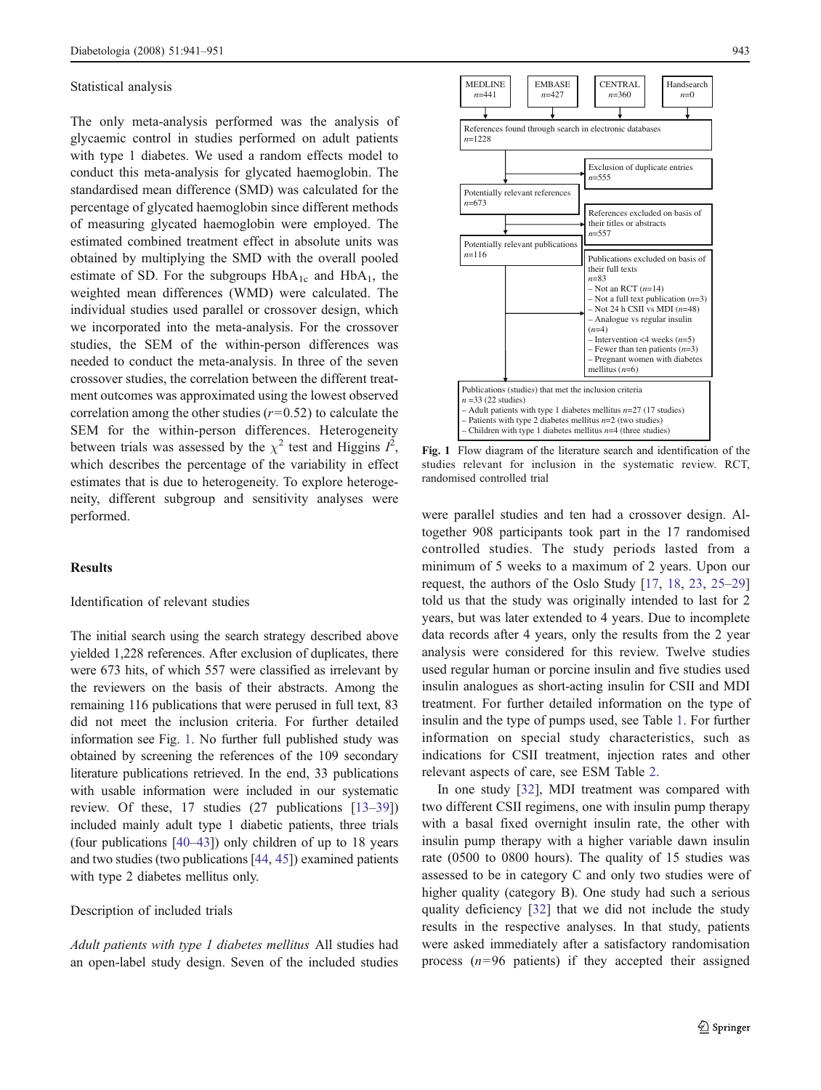#### Statistical analysis

The only meta-analysis performed was the analysis of glycaemic control in studies performed on adult patients with type 1 diabetes. We used a random effects model to conduct this meta-analysis for glycated haemoglobin. The standardised mean difference (SMD) was calculated for the percentage of glycated haemoglobin since different methods of measuring glycated haemoglobin were employed. The estimated combined treatment effect in absolute units was obtained by multiplying the SMD with the overall pooled estimate of SD. For the subgroups  $HbA_{1c}$  and  $HbA_{1}$ , the weighted mean differences (WMD) were calculated. The individual studies used parallel or crossover design, which we incorporated into the meta-analysis. For the crossover studies, the SEM of the within-person differences was needed to conduct the meta-analysis. In three of the seven crossover studies, the correlation between the different treatment outcomes was approximated using the lowest observed correlation among the other studies  $(r=0.52)$  to calculate the SEM for the within-person differences. Heterogeneity between trials was assessed by the  $\chi^2$  test and Higgins  $I^2$ , which describes the percentage of the variability in effect estimates that is due to heterogeneity. To explore heterogeneity, different subgroup and sensitivity analyses were performed.

## Results

## Identification of relevant studies

The initial search using the search strategy described above yielded 1,228 references. After exclusion of duplicates, there were 673 hits, of which 557 were classified as irrelevant by the reviewers on the basis of their abstracts. Among the remaining 116 publications that were perused in full text, 83 did not meet the inclusion criteria. For further detailed information see Fig. 1. No further full published study was obtained by screening the references of the 109 secondary literature publications retrieved. In the end, 33 publications with usable information were included in our systematic review. Of these, 17 studies (27 publications [[13](#page-9-0)–[39\]](#page-10-0)) included mainly adult type 1 diabetic patients, three trials (four publications [\[40](#page-10-0)–[43\]](#page-10-0)) only children of up to 18 years and two studies (two publications [\[44,](#page-10-0) [45\]](#page-10-0)) examined patients with type 2 diabetes mellitus only.

#### Description of included trials

Adult patients with type 1 diabetes mellitus All studies had an open-label study design. Seven of the included studies



Fig. 1 Flow diagram of the literature search and identification of the studies relevant for inclusion in the systematic review. RCT, randomised controlled trial

were parallel studies and ten had a crossover design. Altogether 908 participants took part in the 17 randomised controlled studies. The study periods lasted from a minimum of 5 weeks to a maximum of 2 years. Upon our request, the authors of the Oslo Study [\[17](#page-10-0), [18](#page-10-0), [23](#page-10-0), [25](#page-10-0)–[29](#page-10-0)] told us that the study was originally intended to last for 2 years, but was later extended to 4 years. Due to incomplete data records after 4 years, only the results from the 2 year analysis were considered for this review. Twelve studies used regular human or porcine insulin and five studies used insulin analogues as short-acting insulin for CSII and MDI treatment. For further detailed information on the type of insulin and the type of pumps used, see Table [1.](#page-3-0) For further information on special study characteristics, such as indications for CSII treatment, injection rates and other relevant aspects of care, see ESM Table 2.

In one study [\[32](#page-10-0)], MDI treatment was compared with two different CSII regimens, one with insulin pump therapy with a basal fixed overnight insulin rate, the other with insulin pump therapy with a higher variable dawn insulin rate (0500 to 0800 hours). The quality of 15 studies was assessed to be in category C and only two studies were of higher quality (category B). One study had such a serious quality deficiency [[32\]](#page-10-0) that we did not include the study results in the respective analyses. In that study, patients were asked immediately after a satisfactory randomisation process  $(n=96 \text{ patients})$  if they accepted their assigned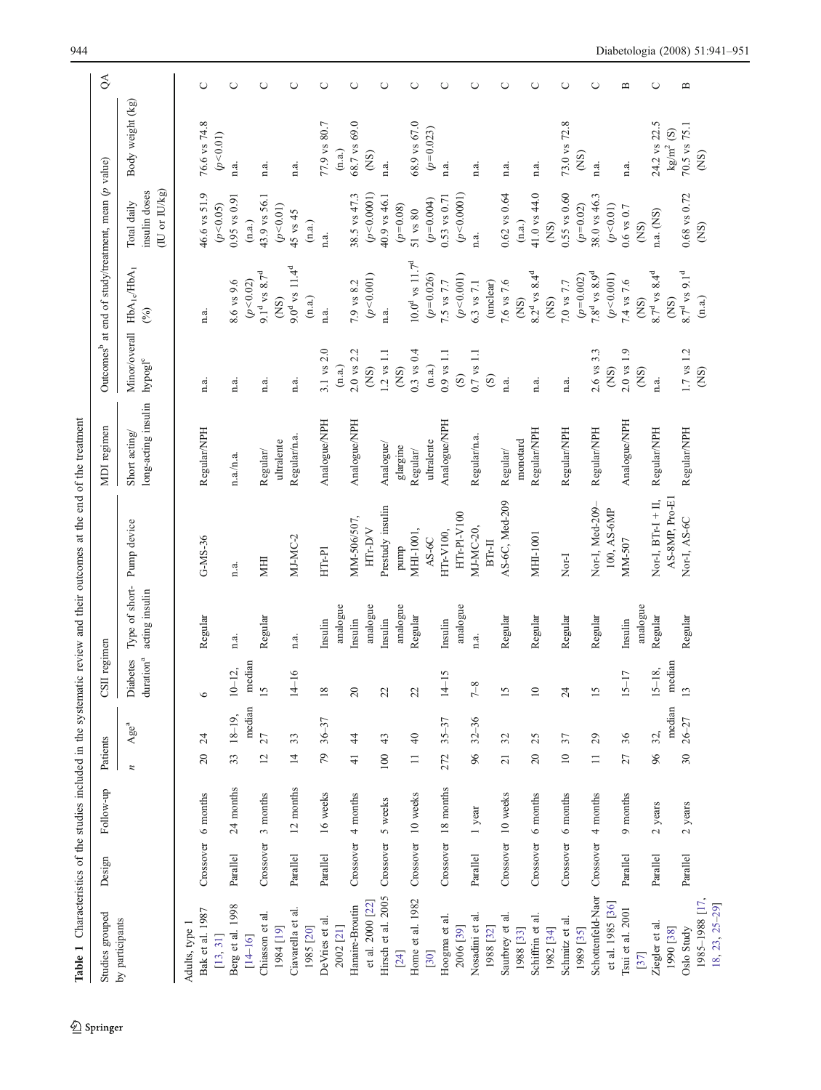<span id="page-3-0"></span>

| Studies grouped                                     | Design    | Follow-up                      | Patients                  |                      | CSII regimen                  |                                  |                                         | MDI regimen                          |                                                 | Outcomes <sup>b</sup> at end of study/treatment, mean (p value) |                                                               |                             | $\delta$                                                                                                                                                                                                                                                                                                                                                                                                                                                                                                                                                                                                                                                                                        |
|-----------------------------------------------------|-----------|--------------------------------|---------------------------|----------------------|-------------------------------|----------------------------------|-----------------------------------------|--------------------------------------|-------------------------------------------------|-----------------------------------------------------------------|---------------------------------------------------------------|-----------------------------|-------------------------------------------------------------------------------------------------------------------------------------------------------------------------------------------------------------------------------------------------------------------------------------------------------------------------------------------------------------------------------------------------------------------------------------------------------------------------------------------------------------------------------------------------------------------------------------------------------------------------------------------------------------------------------------------------|
| by participants                                     |           |                                | $\overline{a}$            | Age <sup>a</sup>     | $\rm{duration}^a$<br>Diabetes | Type of short-<br>acting insulin | Pump device                             | long-acting insulin<br>Short acting/ | Minor/overall<br>${\rm hypogl}^{\rm c}$         | $HbA_{1}$ $HbA_{1}$<br>(%)                                      | (IU or IU/kg)<br>insulin doses<br>Total daily                 | Body weight (kg)            |                                                                                                                                                                                                                                                                                                                                                                                                                                                                                                                                                                                                                                                                                                 |
| Bak et al. 1987<br>Adults, type 1                   | Crossover | 6 months                       | $\overline{c}$            | $\overline{c}$       | $\circ$                       | Regular                          | $G-MS-36$                               | Regular/NPH                          | n.a.                                            | n.a.                                                            | 46.6 vs 51.9                                                  | 76.6 vs 74.8                | $\cup$                                                                                                                                                                                                                                                                                                                                                                                                                                                                                                                                                                                                                                                                                          |
| Berg et al. 1998<br>$[14 - 16]$<br>[13, 31]         | Parallel  | 24 months                      | 33                        | median<br>$18 - 19,$ | median<br>$10 - 12$           | n.a.                             | n.a.                                    | n.a. / n.a.                          | n.a.                                            | 8.6 vs 9.6<br>(p < 0.02)                                        | $0.95$ vs $0.91$<br>(p<0.05)<br>(n.a.)                        | (p<0.01)<br>n.a.            | $\cup$                                                                                                                                                                                                                                                                                                                                                                                                                                                                                                                                                                                                                                                                                          |
| Chiasson et al.<br>[61] 1861                        | Crossover | 3 months                       | $\overline{c}$            | $\overline{27}$      | 15                            | Regular                          | <b>IHIM</b>                             | ultralente<br>Regular/               | n.a.                                            | $9.1^d$ vs 8.7 <sup>d</sup><br>(S)                              | 43.9 vs 56.1<br>(p<0.01)                                      | n.a.                        | $\cup$                                                                                                                                                                                                                                                                                                                                                                                                                                                                                                                                                                                                                                                                                          |
| Ciavarella et al.<br>1985 [20]                      | Parallel  | 12 months                      | $\overline{4}$            | 33                   | $-16$<br>$\overline{4}$       | n.a.                             | MJ-MC-2                                 | Regular/n.a                          | n.a.                                            | $9.0^d$ vs $11.4^d$<br>(n.a.)                                   | 45 vs 45<br>(n.a.)                                            | n.a.                        | $\cup$                                                                                                                                                                                                                                                                                                                                                                                                                                                                                                                                                                                                                                                                                          |
| DeVries et al<br>2002 [21]                          | Parallel  | 16 weeks                       | 79                        | $36 - 37$            | 18                            | analogue<br>Insulin              | $HTr-P1$                                | Analogue/NPH                         | $3.1$ vs $2.0$<br>$\left( \mathrm{n.a.}\right)$ | n.a.                                                            | n.a.                                                          | 77.9 vs 80.7<br>(n.a.)      | $\cup$                                                                                                                                                                                                                                                                                                                                                                                                                                                                                                                                                                                                                                                                                          |
| et al. 2000 [22]<br>Hanaire-Broutin                 | Crossover | 4 months                       | $\frac{1}{4}$             | 4                    | 20                            | analogue<br>Insulin              | MM-506/507,<br>HTr-DV                   | Analogue/NPH                         | $2.0$ vs $2.2$<br>$\widetilde{S}$               | (p<0.001)<br>7.9 vs 8.2                                         | 38.5 vs 47.3<br>(p<0.0001)                                    | 68.7 vs 69.0<br>(SN)        | $\cup$                                                                                                                                                                                                                                                                                                                                                                                                                                                                                                                                                                                                                                                                                          |
| Hirsch et al. 2005<br>$[24]$                        | Crossover | 5 weeks                        | 100                       | 43                   | 22                            | analogue<br>Insulin              | Prestudy insulin<br>pump                | Analogue/<br>glargine                | $1.2$ vs $1.1$<br>$\widetilde{S}$               | n.a.                                                            | 40.9 vs 46.1<br>$(p=0.08)$                                    | n.a.                        | $\cup$                                                                                                                                                                                                                                                                                                                                                                                                                                                                                                                                                                                                                                                                                          |
| Home et al. 1982<br>[30]                            |           | Crossover 10 weeks             | $\equiv$                  | $\overline{4}$       | 22                            | Regular                          | MHI-1001,<br>$AS-6C$                    | ultralente<br>Regular/               | $0.3$ vs $0.4$<br>$(\mathrm{n.a.})$             | $10.0^d$ vs $11.7^d$<br>$(p=0.026)$                             | $(p=0.004)$<br>$51$ vs $80$                                   | 58.9 vs 67.0<br>$(p=0.023)$ | $\cup$                                                                                                                                                                                                                                                                                                                                                                                                                                                                                                                                                                                                                                                                                          |
| Hoogma et al.<br>2006 [39]                          |           | Crossover 18 months            | 272                       | $35 - 37$            | $-15$<br>$\overline{4}$       | analogue<br>In<br>sulin          | HTr-Pl-V100<br>HTr-V100,                | Analogue/NPH                         | $0.9$ vs $1.1$<br>$\odot$                       | (p<0.001)<br>7.5 vs 7.7                                         | (p<0.0001)<br>$0.53$ vs $0.71$                                | n.a.                        | $\cup$                                                                                                                                                                                                                                                                                                                                                                                                                                                                                                                                                                                                                                                                                          |
| Nosadini et al.<br>1988 [32]                        | Parallel  | 1 year                         | 96                        | $32 - 36$            | $7 - 8$                       | n.a.                             | MJ-MC-20,<br>$BT-II$                    | Regular/n.a.                         | $0.7$ vs $1.1$<br>$\odot$                       | 6.3 vs 7.1<br>(unclear)                                         | n.a.                                                          | n.a.                        | ◡                                                                                                                                                                                                                                                                                                                                                                                                                                                                                                                                                                                                                                                                                               |
| Saurbrey et al.<br>Schiffrin et al.<br>1988 [33]    | Crossover | Crossover 10 weeks<br>6 months | $20\,$<br>$\overline{21}$ | 32<br>25             | 15<br>$\overline{10}$         | Regular<br>Regular               | AS-6C, Med-209<br>MHI-1001              | Regular/NPH<br>monotard<br>Regular/  | n.a.<br>n.a.                                    | $8.2^d$ vs $8.4^d$<br>7.6 vs 7.6<br>$\widetilde{\text{CS}}$     | 41.0 vs 44.0<br>$0.62$ vs $0.64$<br>$(\mathrm{n}.\mathrm{a})$ | n.a.<br>n.a.                | $\cup$<br>O                                                                                                                                                                                                                                                                                                                                                                                                                                                                                                                                                                                                                                                                                     |
| Schmitz et al.<br>1982 [34]                         | Crossover | 6 months                       | $\supseteq$               | 57                   | 24                            | Regular                          | Nor-I                                   | Regular/NPH                          | n.a.                                            | 7.0 vs 7.7<br>$\widetilde{\text{NS}}$                           | $0.55$ vs $0.60$<br>(SN)                                      | 73.0 vs 72.8                | $\cup$                                                                                                                                                                                                                                                                                                                                                                                                                                                                                                                                                                                                                                                                                          |
| Schottenfeld-Naor<br>et al. 1985 [36]<br>1989 [35]  | Crossover | 4 months                       | $\Box$                    | 29                   | 15                            | Regular                          | Nor-I, Med-209-<br>100, AS-6MP          | Regular/NPH                          | $2.6$ vs $3.3$<br>(S)                           | $7.8^d$ vs $8.9^d$<br>(p<0.001)<br>$(p=0.002)$                  | 38.0 vs 46.3<br>$(p=0.02)$<br>(p<0.01)                        | (SN)<br>n.a.                | $\cup$                                                                                                                                                                                                                                                                                                                                                                                                                                                                                                                                                                                                                                                                                          |
| Tsui et al. 2001<br>[37]                            | Parallel  | 9 months                       | 27                        | 36                   | $-17$<br>$15-$                | analogue<br>Insulin              | MM-507                                  | Analogue/NPH                         | $2.0 \text{ vs } 1.9$<br>(SN)                   | 7.4 vs 7.6<br>$\widetilde{\mathrm{CS}}$                         | $0.6$ vs $0.7$<br>(SN)                                        | n.a.                        | $\mathbf{u}$                                                                                                                                                                                                                                                                                                                                                                                                                                                                                                                                                                                                                                                                                    |
| Ziegler et al.<br>1990 [38]                         | Parallel  | $2$ years                      | 96                        | median<br>32,        | median $13$<br>$15 - 18,$     | Regular                          | AS-8MP, Pro-E1<br>Nor-I, $BTr-1 + II$ , | Regular/NPH                          | n.a.                                            | $8.7^d$ vs $8.4^d$<br>(SN)                                      | n.a. (NS)                                                     | 24.2 vs 22.5<br>$kg/m2$ (S) | O                                                                                                                                                                                                                                                                                                                                                                                                                                                                                                                                                                                                                                                                                               |
| 1985-1988 [17.<br>$18, 23, 25 - 29$ ]<br>Oslo Study | Parallel  | $2$ years                      | $\overline{30}$           | $26 - 27$            |                               | Regular                          | Nor-I, AS-6C                            | Regular/NPH                          | $1.7$ vs $1.2$<br>$\widetilde{\mathrm{CS}}$     | $8.7^d$ vs $9.1^d$<br>(n.a.)                                    | $0.68$ vs $0.72$<br>$\widetilde{\mathrm{CS}}$                 | 70.5 vs 75.1<br>(SN)        | $\mathbf{\underline{\underline{\omega}}}% =\mathbf{\underline{\omega}}% =\mathbf{\underline{\omega}}% =\mathbf{\underline{\omega}}% =\mathbf{\underline{\omega}}% =\mathbf{\underline{\omega}}% =\mathbf{\underline{\omega}}% =\mathbf{\underline{\omega}}% =\mathbf{\underline{\omega}}% =\mathbf{\underline{\omega}}% =\mathbf{\underline{\omega}}% =\mathbf{\underline{\omega}}% =\mathbf{\underline{\omega}}% =\mathbf{\underline{\omega}}% =\mathbf{\underline{\omega}}% =\mathbf{\underline{\omega}}% =\mathbf{\underline{\omega}}% =\mathbf{\underline{\omega}}% =\mathbf{\underline{\omega}}% =\mathbf{\underline{\omega}}% =\mathbf{\underline{\omega}}% =\mathbf{\underline{\omega}}$ |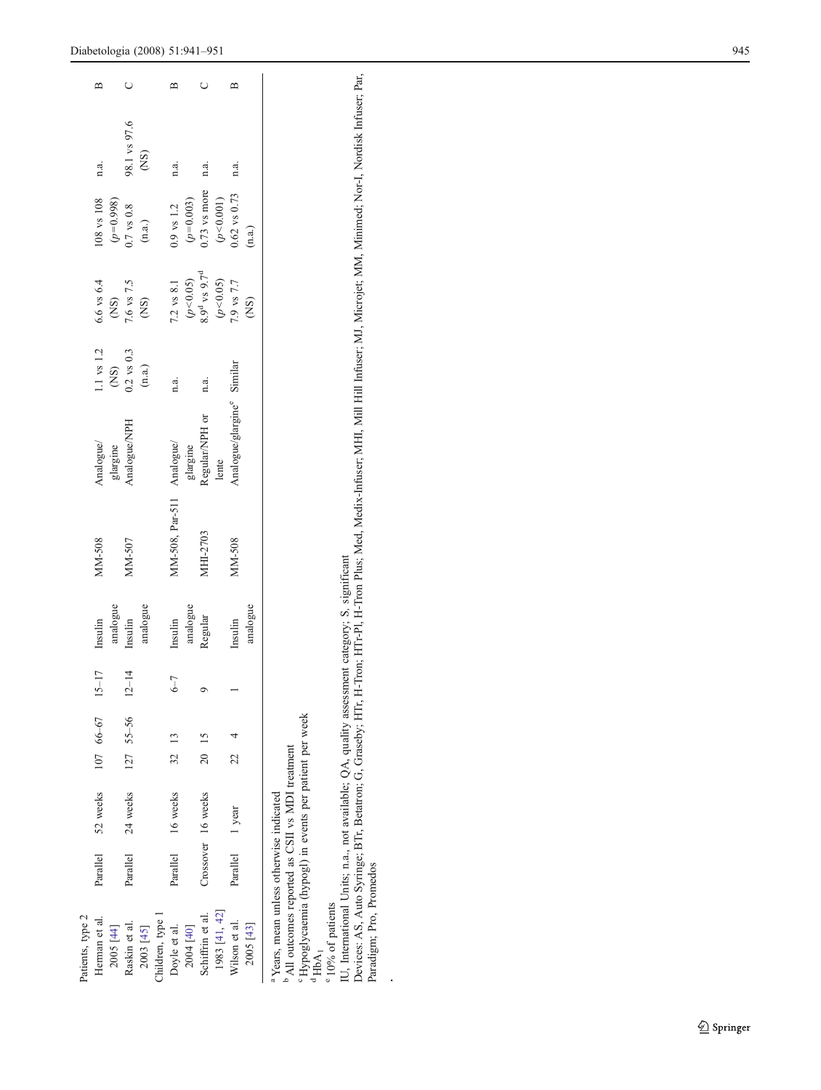| Patients, type 2<br>Herman et al.<br>2005 [44]                                                                                                                              | Parallel           | 52 weeks |                  | $10766-6715-$       |         | analogue<br>Insulin | MM-508          | ${\bf Analogue' }\atop {\bf galaxy are}$ | 1.1 vs 1.2<br>(NS)<br>0.2 vs 0.3 |                                                                                                    | 108 vs 108                                  | n.a.                    | ≃ |
|-----------------------------------------------------------------------------------------------------------------------------------------------------------------------------|--------------------|----------|------------------|---------------------|---------|---------------------|-----------------|------------------------------------------|----------------------------------|----------------------------------------------------------------------------------------------------|---------------------------------------------|-------------------------|---|
| Raskin et al.                                                                                                                                                               | Parallel           | 24 weeks |                  | $127$ 55-56 $12-14$ |         | Insulin             | MM-507          | <b>Analogue/NPH</b>                      |                                  | $6.6$ vs $6.4$<br>(NS)<br>7.6 vs 7.5<br>(NS)                                                       | $(p=0.998)$<br>0.7 vs 0.8                   | 98.1 vs 97.6            |   |
| 2003 [45]                                                                                                                                                                   |                    |          |                  |                     |         | analogue            |                 |                                          | $\left( \mathrm{n.a.}\right)$    |                                                                                                    | (n.a.)                                      | $\widetilde{\text{CS}}$ |   |
| Children, type 1                                                                                                                                                            |                    |          |                  |                     |         |                     |                 |                                          |                                  |                                                                                                    |                                             |                         |   |
| Doyle et al.                                                                                                                                                                | Parallel           | 16 weeks | 32 <sup>13</sup> |                     | $6 - 7$ | Insulin             | MM-508, Par-511 | Analogue/                                | n.a.                             |                                                                                                    |                                             | n.a.                    |   |
| 2004 [40]                                                                                                                                                                   |                    |          |                  |                     |         | analogue            |                 | glargine                                 |                                  |                                                                                                    | 0.9 vs 1.2<br>( $p=0.003$ )<br>0.73 vs more |                         |   |
| Schiffrin et al.                                                                                                                                                            | Crossover 16 weeks |          | 20 15            |                     |         | Regular             | MHI-2703        | <b>Regular/NPH</b> or                    | n.a.                             |                                                                                                    |                                             | n.a.                    |   |
| 1983 [41, 42]                                                                                                                                                               |                    |          |                  |                     |         |                     |                 | lente                                    |                                  | 7.2 vs 8.1<br>( $p$ <0.05)<br>8.9 <sup>d</sup> vs 9.7 <sup>d</sup><br>( $p$ <0.05)<br>( $p$ <0.05) | $(p<0.001)$<br>0.62 vs 0.73                 |                         |   |
| Wilson et al.                                                                                                                                                               | Parallel           | 1 year   | 22<br>2          |                     |         | Insulin             | MM-508          | Analogue/glargine <sup>e</sup> Similar   |                                  |                                                                                                    |                                             | n.a.                    |   |
| 2005 [43]                                                                                                                                                                   |                    |          |                  |                     |         | analogue            |                 |                                          |                                  | (SN)                                                                                               | (n.a.)                                      |                         |   |
| <sup>c</sup> Hypoglycaemia (hypogl) in events per patient per week<br>All outcomes reported as CSII vs MDI treatment<br><sup>a</sup> Years, mean unless otherwise indicated |                    |          |                  |                     |         |                     |                 |                                          |                                  |                                                                                                    |                                             |                         |   |

CHypo;<br>dHbA<sub>1</sub>

° 10% of patients 10% of patients

*.*

IU, International Units; n.a., not available; QA, quality assessment category; S, significant

IU, International Units; n.a., not available; QA, quality assessment category; S, significant<br>Devices: AS, Auto Syringe; BTr, Betatron; G, Graseby; HTr, H-Tron; HTr-Pl, H-Tron Plus; Med, Medix-Infuser; MH, Mill Hill Infuse Devices: AS, Auto Syringe; BTr, Betatron; G, Graseby; HTr, H-Tron; HTr-Pl, H-Tron Plus; Med, Medix-Infuser; MHI, Mill Hill Infuser; MJ, Microjet; MM, Minimed; Nor-I, Nordisk Infuser; Par, Paradigm; Pro, Promedos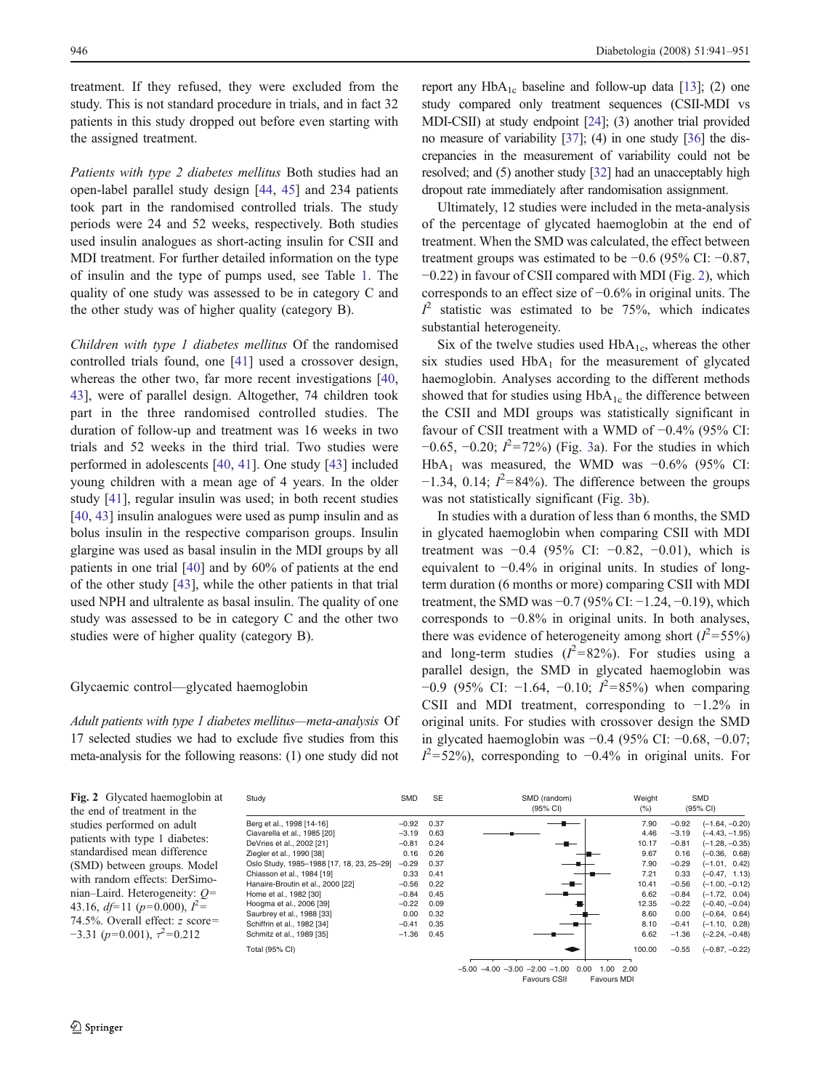treatment. If they refused, they were excluded from the study. This is not standard procedure in trials, and in fact 32 patients in this study dropped out before even starting with the assigned treatment.

Patients with type 2 diabetes mellitus Both studies had an open-label parallel study design [\[44](#page-10-0), [45](#page-10-0)] and 234 patients took part in the randomised controlled trials. The study periods were 24 and 52 weeks, respectively. Both studies used insulin analogues as short-acting insulin for CSII and MDI treatment. For further detailed information on the type of insulin and the type of pumps used, see Table [1](#page-3-0). The quality of one study was assessed to be in category C and the other study was of higher quality (category B).

Children with type 1 diabetes mellitus Of the randomised controlled trials found, one [\[41](#page-10-0)] used a crossover design, whereas the other two, far more recent investigations [[40,](#page-10-0) [43\]](#page-10-0), were of parallel design. Altogether, 74 children took part in the three randomised controlled studies. The duration of follow-up and treatment was 16 weeks in two trials and 52 weeks in the third trial. Two studies were performed in adolescents [\[40](#page-10-0), [41\]](#page-10-0). One study [[43\]](#page-10-0) included young children with a mean age of 4 years. In the older study [\[41](#page-10-0)], regular insulin was used; in both recent studies [\[40](#page-10-0), [43](#page-10-0)] insulin analogues were used as pump insulin and as bolus insulin in the respective comparison groups. Insulin glargine was used as basal insulin in the MDI groups by all patients in one trial [\[40](#page-10-0)] and by 60% of patients at the end of the other study [[43\]](#page-10-0), while the other patients in that trial used NPH and ultralente as basal insulin. The quality of one study was assessed to be in category C and the other two studies were of higher quality (category B).

## Glycaemic control—glycated haemoglobin

Adult patients with type 1 diabetes mellitus*—*meta-analysis Of 17 selected studies we had to exclude five studies from this meta-analysis for the following reasons: (1) one study did not

report any  $HbA_{1c}$  baseline and follow-up data [\[13\]](#page-9-0); (2) one study compared only treatment sequences (CSII-MDI vs MDI-CSII) at study endpoint [[24](#page-10-0)]; (3) another trial provided no measure of variability [[37](#page-10-0)]; (4) in one study [\[36](#page-10-0)] the discrepancies in the measurement of variability could not be resolved; and (5) another study [\[32](#page-10-0)] had an unacceptably high dropout rate immediately after randomisation assignment.

Ultimately, 12 studies were included in the meta-analysis of the percentage of glycated haemoglobin at the end of treatment. When the SMD was calculated, the effect between treatment groups was estimated to be −0.6 (95% CI: −0.87, −0.22) in favour of CSII compared with MDI (Fig. 2), which corresponds to an effect size of −0.6% in original units. The  $I^2$  statistic was estimated to be 75%, which indicates substantial heterogeneity.

Six of the twelve studies used  $HbA_{1c}$ , whereas the other six studies used  $HbA_1$  for the measurement of glycated haemoglobin. Analyses according to the different methods showed that for studies using  $HbA_{1c}$  the difference between the CSII and MDI groups was statistically significant in favour of CSII treatment with a WMD of −0.4% (95% CI:  $-0.65, -0.20; I<sup>2</sup>=72%$ ) (Fig. [3](#page-6-0)a). For the studies in which HbA<sub>1</sub> was measured, the WMD was  $-0.6\%$  (95% CI:  $-1.34$ , 0.14;  $I^2 = 84\%$ ). The difference between the groups was not statistically significant (Fig. [3b](#page-6-0)).

In studies with a duration of less than 6 months, the SMD in glycated haemoglobin when comparing CSII with MDI treatment was  $-0.4$  (95% CI:  $-0.82$ ,  $-0.01$ ), which is equivalent to −0.4% in original units. In studies of longterm duration (6 months or more) comparing CSII with MDI treatment, the SMD was −0.7 (95% CI: −1.24, −0.19), which corresponds to −0.8% in original units. In both analyses, there was evidence of heterogeneity among short  $(l^2 = 55\%)$ and long-term studies  $(l^2=82\%)$ . For studies using a parallel design, the SMD in glycated haemoglobin was −0.9 (95% CI: −1.64, −0.10;  $I^2 = 85\%$ ) when comparing CSII and MDI treatment, corresponding to −1.2% in original units. For studies with crossover design the SMD in glycated haemoglobin was −0.4 (95% CI: −0.68, −0.07;  $I^2$ =52%), corresponding to -0.4% in original units. For

Fig. 2 Glycated haemoglobin at the end of treatment in the studies performed on adult patients with type 1 diabetes: standardised mean difference (SMD) between groups. Model with random effects: DerSimonian–Laird. Heterogeneity: Q= 43.16,  $df=11$  ( $p=0.000$ ),  $I^2=$ 74.5%. Overall effect: z score=  $-3.31$  ( $p=0.001$ ),  $\tau^2=0.212$ 

DeVries et al., 2002 [21]  $-0.81$  0.24  $-$  10.17  $-$  0.81 Home et al., 1982 [30] Saurbrey et al., 1988 [33] 0.00 0.32<br>Schiffrin et al., 1982 [34] -0.41 0.35 **Study** Total (95% CI)

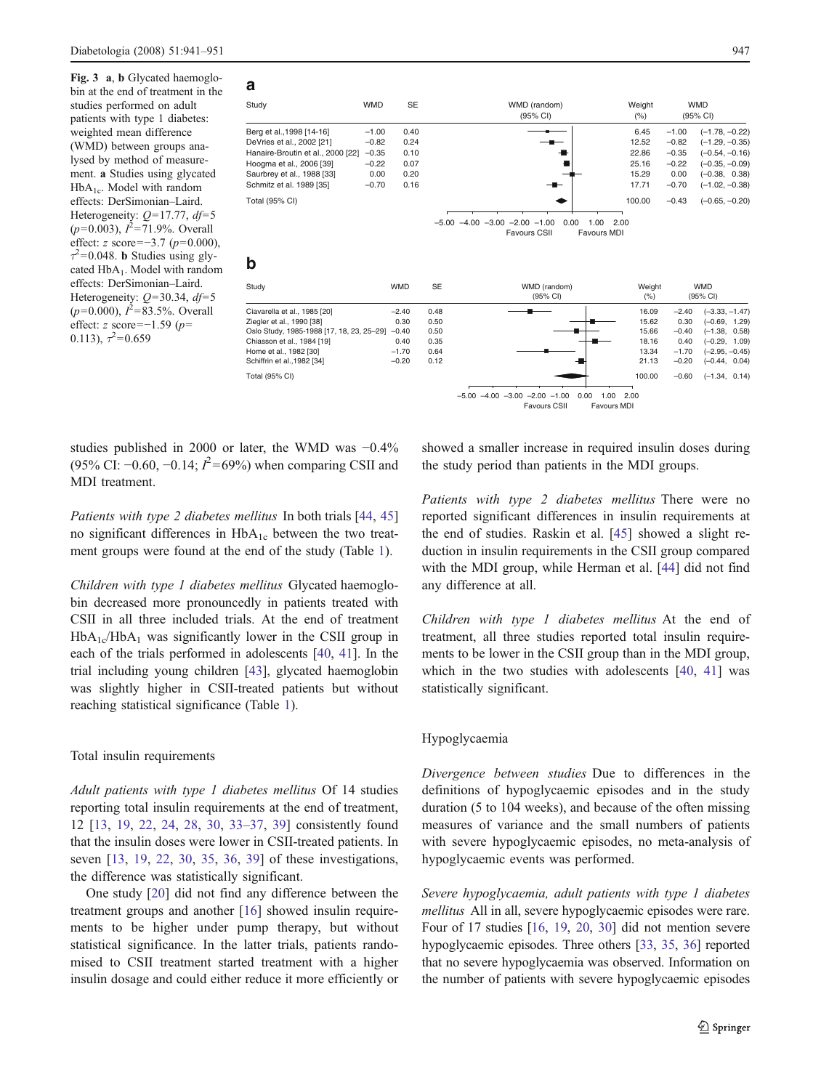<span id="page-6-0"></span>Fig. 3 a, b Glycated haemoglobin at the end of treatment in the studies performed on adult patients with type 1 diabetes: weighted mean difference (WMD) between groups analysed by method of measurement. a Studies using glycated  $HbA_{1c}$ . Model with random effects: DerSimonian–Laird. Heterogeneity:  $Q=17.77$ ,  $df=5$  $(p=0.003)$ ,  $I^2=71.9\%$ . Overall effect: z score=−3.7 ( $p=0.000$ ),  $\tau^2$ =0.048. **b** Studies using glycated HbA<sub>1</sub>. Model with random effects: DerSimonian–Laird. Heterogeneity:  $Q=30.34$ ,  $df=5$  $(p=0.000)$ ,  $I^2 = 83.5\%$ . Overall effect: z score=−1.59 (p= 0.113),  $\tau^2 = 0.659$ 

| a                                         |            |            |           |                                                         |                |         |                        |
|-------------------------------------------|------------|------------|-----------|---------------------------------------------------------|----------------|---------|------------------------|
| Study                                     | <b>WMD</b> | <b>SE</b>  |           | WMD (random)<br>(95% CI)                                | Weight<br>(% ) |         | <b>WMD</b><br>(95% CI) |
| Berg et al., 1998 [14-16]                 | $-1.00$    | 0.40       |           |                                                         | 6.45           | $-1.00$ | $(-1.78, -0.22)$       |
| DeVries et al., 2002 [21]                 | $-0.82$    | 0.24       |           |                                                         | 12.52          | $-0.82$ | $(-1.29, -0.35)$       |
| Hanaire-Broutin et al., 2000 [22]         | $-0.35$    | 0.10       |           |                                                         | 22.86          | $-0.35$ | $(-0.54, -0.16)$       |
| Hoogma et al., 2006 [39]                  | $-0.22$    | 0.07       |           |                                                         | 25.16          | $-0.22$ | $(-0.35, -0.09)$       |
| Saurbrey et al., 1988 [33]                | 0.00       | 0.20       |           |                                                         | 15.29          | 0.00    | $(-0.38, 0.38)$        |
| Schmitz et al. 1989 [35]                  | $-0.70$    | 0.16       |           |                                                         | 17.71          | $-0.70$ | $(-1.02, -0.38)$       |
| Total (95% CI)                            |            |            |           |                                                         | 100.00         | $-0.43$ | $(-0.65, -0.20)$       |
|                                           |            |            |           |                                                         |                |         |                        |
|                                           |            |            |           | $-5.00 -4.00 -3.00 -2.00 -1.00$<br>0.00<br>1.00         | 2.00           |         |                        |
|                                           |            |            |           | <b>Favours MDI</b><br><b>Favours CSII</b>               |                |         |                        |
| b                                         |            |            |           |                                                         |                |         |                        |
|                                           |            |            |           |                                                         |                |         |                        |
| Study                                     |            | <b>WMD</b> | <b>SE</b> | WMD (random)                                            | Weight         |         | <b>WMD</b>             |
|                                           |            |            |           | (95% CI)                                                | (% )           |         | (95% CI)               |
| Ciavarella et al., 1985 [20]              |            | $-2.40$    | 0.48      |                                                         | 16.09          | $-2.40$ | $(-3.33, -1.47)$       |
| Ziegler et al., 1990 [38]                 |            | 0.30       | 0.50      |                                                         | 15.62          | 0.30    | $(-0.69, 1.29)$        |
| Oslo Study, 1985-1988 [17, 18, 23, 25-29] |            | $-0.40$    | 0.50      |                                                         | 15.66          | $-0.40$ | $(-1.38, 0.58)$        |
| Chiasson et al., 1984 [19]                |            | 0.40       | 0.35      |                                                         | 18.16          | 0.40    | $(-0.29, 1.09)$        |
| Home et al., 1982 [30]                    |            | $-1.70$    | 0.64      |                                                         | 13.34          | $-1.70$ | $(-2.95, -0.45)$       |
| Schiffrin et al., 1982 [34]               |            | $-0.20$    | 0.12      |                                                         | 21.13          | $-0.20$ | $(-0.44, 0.04)$        |
| Total (95% CI)                            |            |            |           |                                                         | 100.00         | $-0.60$ | $(-1.34, 0.14)$        |
|                                           |            |            |           | $-5.00$ $-4.00$ $-3.00$ $-2.00$ $-1.00$<br>0.00<br>1.00 | 2.00           |         |                        |



studies published in 2000 or later, the WMD was −0.4% (95% CI: −0.60, −0.14;  $I^2$ =69%) when comparing CSII and MDI treatment.

Patients with type 2 diabetes mellitus In both trials [[44,](#page-10-0) [45\]](#page-10-0) no significant differences in  $HbA_{1c}$  between the two treatment groups were found at the end of the study (Table [1](#page-3-0)).

Children with type 1 diabetes mellitus Glycated haemoglobin decreased more pronouncedly in patients treated with CSII in all three included trials. At the end of treatment  $HbA_{1c}/HbA_1$  was significantly lower in the CSII group in each of the trials performed in adolescents [\[40](#page-10-0), [41](#page-10-0)]. In the trial including young children [[43](#page-10-0)], glycated haemoglobin was slightly higher in CSII-treated patients but without reaching statistical significance (Table [1\)](#page-3-0).

## Total insulin requirements

Adult patients with type 1 diabetes mellitus Of 14 studies reporting total insulin requirements at the end of treatment, 12 [\[13](#page-9-0), [19,](#page-10-0) [22,](#page-10-0) [24](#page-10-0), [28,](#page-10-0) [30,](#page-10-0) [33](#page-10-0)–[37](#page-10-0), [39\]](#page-10-0) consistently found that the insulin doses were lower in CSII-treated patients. In seven [[13,](#page-9-0) [19,](#page-10-0) [22](#page-10-0), [30,](#page-10-0) [35,](#page-10-0) [36](#page-10-0), [39\]](#page-10-0) of these investigations, the difference was statistically significant.

One study [[20\]](#page-10-0) did not find any difference between the treatment groups and another [[16\]](#page-10-0) showed insulin requirements to be higher under pump therapy, but without statistical significance. In the latter trials, patients randomised to CSII treatment started treatment with a higher insulin dosage and could either reduce it more efficiently or showed a smaller increase in required insulin doses during the study period than patients in the MDI groups.

Patients with type 2 diabetes mellitus There were no reported significant differences in insulin requirements at the end of studies. Raskin et al. [\[45\]](#page-10-0) showed a slight reduction in insulin requirements in the CSII group compared with the MDI group, while Herman et al. [\[44](#page-10-0)] did not find any difference at all.

Children with type 1 diabetes mellitus At the end of treatment, all three studies reported total insulin requirements to be lower in the CSII group than in the MDI group, which in the two studies with adolescents [\[40](#page-10-0), [41\]](#page-10-0) was statistically significant.

#### Hypoglycaemia

Divergence between studies Due to differences in the definitions of hypoglycaemic episodes and in the study duration (5 to 104 weeks), and because of the often missing measures of variance and the small numbers of patients with severe hypoglycaemic episodes, no meta-analysis of hypoglycaemic events was performed.

Severe hypoglycaemia, adult patients with type 1 diabetes mellitus All in all, severe hypoglycaemic episodes were rare. Four of 17 studies [[16](#page-10-0), [19,](#page-10-0) [20,](#page-10-0) [30\]](#page-10-0) did not mention severe hypoglycaemic episodes. Three others [\[33](#page-10-0), [35,](#page-10-0) [36](#page-10-0)] reported that no severe hypoglycaemia was observed. Information on the number of patients with severe hypoglycaemic episodes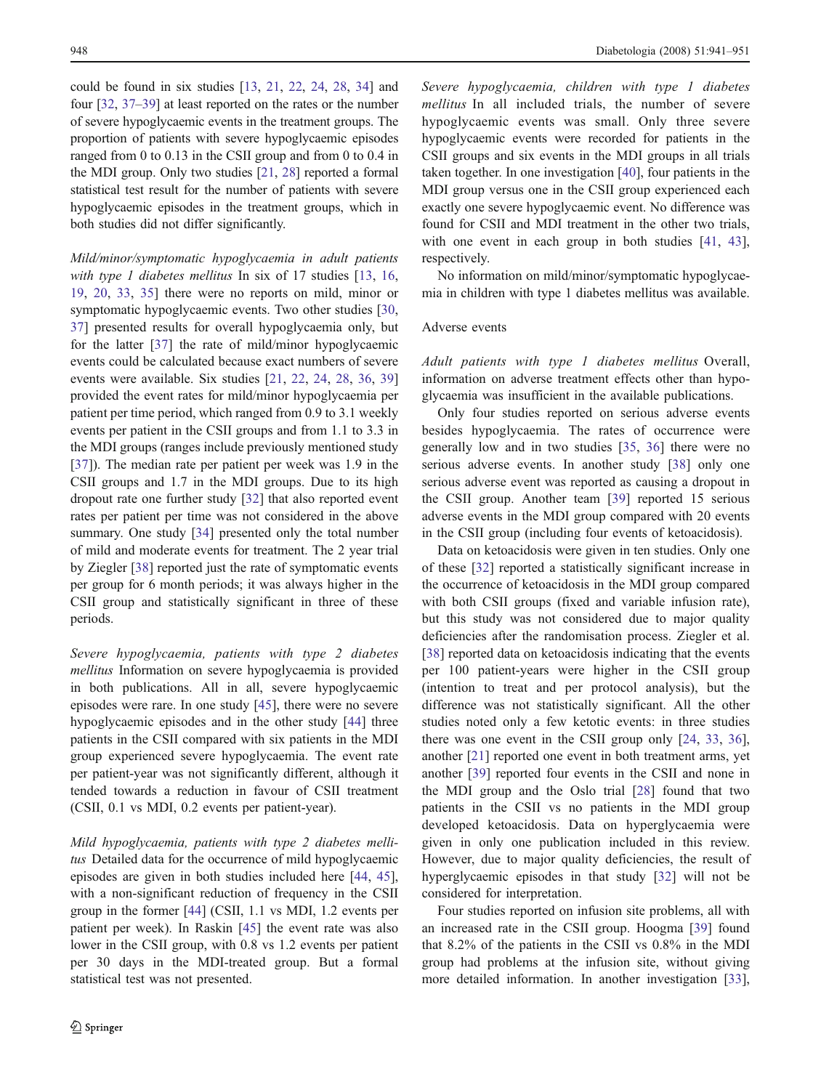could be found in six studies [\[13,](#page-9-0) [21](#page-10-0), [22](#page-10-0), [24,](#page-10-0) [28,](#page-10-0) [34\]](#page-10-0) and four [\[32](#page-10-0), [37](#page-10-0)–[39\]](#page-10-0) at least reported on the rates or the number of severe hypoglycaemic events in the treatment groups. The proportion of patients with severe hypoglycaemic episodes ranged from 0 to 0.13 in the CSII group and from 0 to 0.4 in the MDI group. Only two studies [\[21](#page-10-0), [28\]](#page-10-0) reported a formal statistical test result for the number of patients with severe hypoglycaemic episodes in the treatment groups, which in both studies did not differ significantly.

Mild/minor/symptomatic hypoglycaemia in adult patients with type 1 diabetes mellitus In six of 17 studies [\[13](#page-9-0), [16,](#page-10-0) [19](#page-10-0), [20,](#page-10-0) [33,](#page-10-0) [35\]](#page-10-0) there were no reports on mild, minor or symptomatic hypoglycaemic events. Two other studies [[30,](#page-10-0) [37](#page-10-0)] presented results for overall hypoglycaemia only, but for the latter [\[37](#page-10-0)] the rate of mild/minor hypoglycaemic events could be calculated because exact numbers of severe events were available. Six studies [\[21](#page-10-0), [22](#page-10-0), [24,](#page-10-0) [28,](#page-10-0) [36,](#page-10-0) [39\]](#page-10-0) provided the event rates for mild/minor hypoglycaemia per patient per time period, which ranged from 0.9 to 3.1 weekly events per patient in the CSII groups and from 1.1 to 3.3 in the MDI groups (ranges include previously mentioned study [\[37](#page-10-0)]). The median rate per patient per week was 1.9 in the CSII groups and 1.7 in the MDI groups. Due to its high dropout rate one further study [\[32](#page-10-0)] that also reported event rates per patient per time was not considered in the above summary. One study [\[34](#page-10-0)] presented only the total number of mild and moderate events for treatment. The 2 year trial by Ziegler [\[38](#page-10-0)] reported just the rate of symptomatic events per group for 6 month periods; it was always higher in the CSII group and statistically significant in three of these periods.

Severe hypoglycaemia, patients with type 2 diabetes mellitus Information on severe hypoglycaemia is provided in both publications. All in all, severe hypoglycaemic episodes were rare. In one study [\[45](#page-10-0)], there were no severe hypoglycaemic episodes and in the other study [\[44](#page-10-0)] three patients in the CSII compared with six patients in the MDI group experienced severe hypoglycaemia. The event rate per patient-year was not significantly different, although it tended towards a reduction in favour of CSII treatment (CSII, 0.1 vs MDI, 0.2 events per patient-year).

Mild hypoglycaemia, patients with type 2 diabetes mellitus Detailed data for the occurrence of mild hypoglycaemic episodes are given in both studies included here [\[44](#page-10-0), [45](#page-10-0)], with a non-significant reduction of frequency in the CSII group in the former [\[44](#page-10-0)] (CSII, 1.1 vs MDI, 1.2 events per patient per week). In Raskin [\[45](#page-10-0)] the event rate was also lower in the CSII group, with 0.8 vs 1.2 events per patient per 30 days in the MDI-treated group. But a formal statistical test was not presented.

Severe hypoglycaemia, children with type 1 diabetes mellitus In all included trials, the number of severe hypoglycaemic events was small. Only three severe hypoglycaemic events were recorded for patients in the CSII groups and six events in the MDI groups in all trials taken together. In one investigation [[40](#page-10-0)], four patients in the MDI group versus one in the CSII group experienced each exactly one severe hypoglycaemic event. No difference was found for CSII and MDI treatment in the other two trials, with one event in each group in both studies [[41,](#page-10-0) [43\]](#page-10-0), respectively.

No information on mild/minor/symptomatic hypoglycaemia in children with type 1 diabetes mellitus was available.

## Adverse events

Adult patients with type 1 diabetes mellitus Overall, information on adverse treatment effects other than hypoglycaemia was insufficient in the available publications.

Only four studies reported on serious adverse events besides hypoglycaemia. The rates of occurrence were generally low and in two studies [[35,](#page-10-0) [36\]](#page-10-0) there were no serious adverse events. In another study [[38\]](#page-10-0) only one serious adverse event was reported as causing a dropout in the CSII group. Another team [\[39](#page-10-0)] reported 15 serious adverse events in the MDI group compared with 20 events in the CSII group (including four events of ketoacidosis).

Data on ketoacidosis were given in ten studies. Only one of these [\[32](#page-10-0)] reported a statistically significant increase in the occurrence of ketoacidosis in the MDI group compared with both CSII groups (fixed and variable infusion rate), but this study was not considered due to major quality deficiencies after the randomisation process. Ziegler et al. [\[38](#page-10-0)] reported data on ketoacidosis indicating that the events per 100 patient-years were higher in the CSII group (intention to treat and per protocol analysis), but the difference was not statistically significant. All the other studies noted only a few ketotic events: in three studies there was one event in the CSII group only [[24,](#page-10-0) [33](#page-10-0), [36\]](#page-10-0), another [[21\]](#page-10-0) reported one event in both treatment arms, yet another [[39\]](#page-10-0) reported four events in the CSII and none in the MDI group and the Oslo trial [\[28](#page-10-0)] found that two patients in the CSII vs no patients in the MDI group developed ketoacidosis. Data on hyperglycaemia were given in only one publication included in this review. However, due to major quality deficiencies, the result of hyperglycaemic episodes in that study [[32\]](#page-10-0) will not be considered for interpretation.

Four studies reported on infusion site problems, all with an increased rate in the CSII group. Hoogma [[39\]](#page-10-0) found that 8.2% of the patients in the CSII vs 0.8% in the MDI group had problems at the infusion site, without giving more detailed information. In another investigation [[33\]](#page-10-0),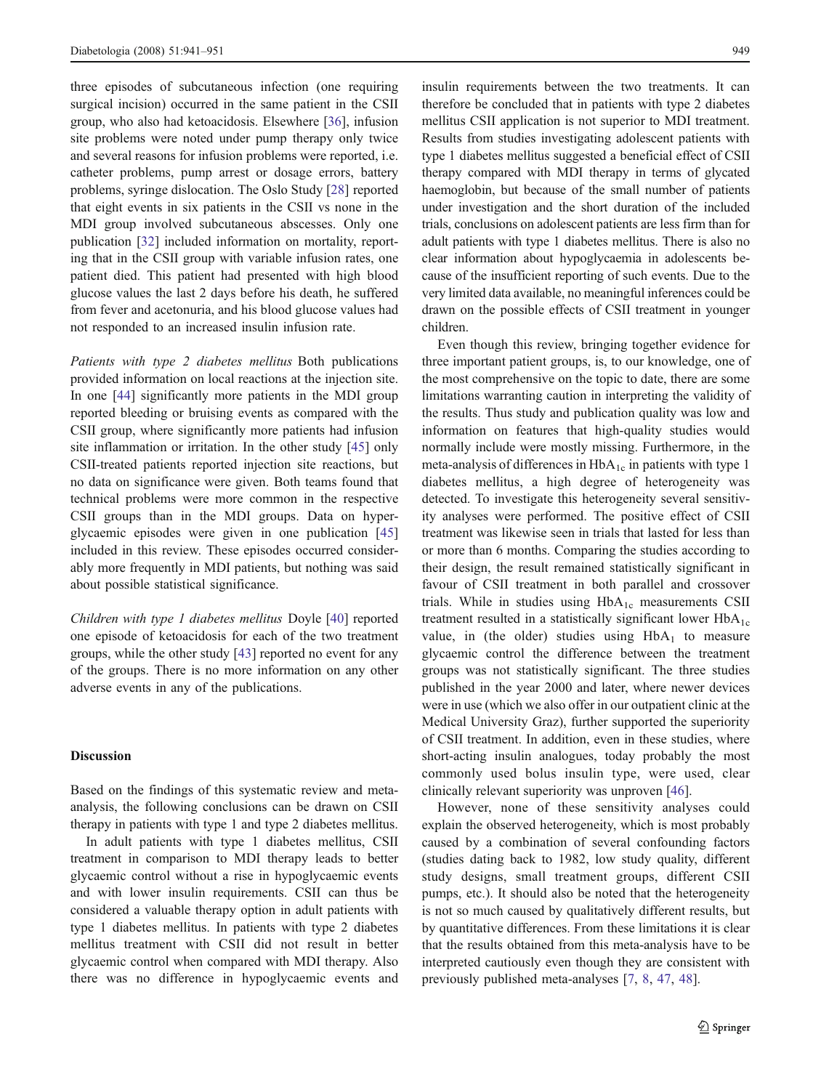three episodes of subcutaneous infection (one requiring surgical incision) occurred in the same patient in the CSII group, who also had ketoacidosis. Elsewhere [[36\]](#page-10-0), infusion site problems were noted under pump therapy only twice and several reasons for infusion problems were reported, i.e. catheter problems, pump arrest or dosage errors, battery problems, syringe dislocation. The Oslo Study [\[28](#page-10-0)] reported that eight events in six patients in the CSII vs none in the MDI group involved subcutaneous abscesses. Only one publication [\[32](#page-10-0)] included information on mortality, reporting that in the CSII group with variable infusion rates, one patient died. This patient had presented with high blood glucose values the last 2 days before his death, he suffered from fever and acetonuria, and his blood glucose values had not responded to an increased insulin infusion rate.

Patients with type 2 diabetes mellitus Both publications provided information on local reactions at the injection site. In one [[44\]](#page-10-0) significantly more patients in the MDI group reported bleeding or bruising events as compared with the CSII group, where significantly more patients had infusion site inflammation or irritation. In the other study [[45\]](#page-10-0) only CSII-treated patients reported injection site reactions, but no data on significance were given. Both teams found that technical problems were more common in the respective CSII groups than in the MDI groups. Data on hyperglycaemic episodes were given in one publication [[45\]](#page-10-0) included in this review. These episodes occurred considerably more frequently in MDI patients, but nothing was said about possible statistical significance.

Children with type 1 diabetes mellitus Doyle [[40\]](#page-10-0) reported one episode of ketoacidosis for each of the two treatment groups, while the other study [[43\]](#page-10-0) reported no event for any of the groups. There is no more information on any other adverse events in any of the publications.

## **Discussion**

Based on the findings of this systematic review and metaanalysis, the following conclusions can be drawn on CSII therapy in patients with type 1 and type 2 diabetes mellitus.

In adult patients with type 1 diabetes mellitus, CSII treatment in comparison to MDI therapy leads to better glycaemic control without a rise in hypoglycaemic events and with lower insulin requirements. CSII can thus be considered a valuable therapy option in adult patients with type 1 diabetes mellitus. In patients with type 2 diabetes mellitus treatment with CSII did not result in better glycaemic control when compared with MDI therapy. Also there was no difference in hypoglycaemic events and insulin requirements between the two treatments. It can therefore be concluded that in patients with type 2 diabetes mellitus CSII application is not superior to MDI treatment. Results from studies investigating adolescent patients with type 1 diabetes mellitus suggested a beneficial effect of CSII therapy compared with MDI therapy in terms of glycated haemoglobin, but because of the small number of patients under investigation and the short duration of the included trials, conclusions on adolescent patients are less firm than for adult patients with type 1 diabetes mellitus. There is also no clear information about hypoglycaemia in adolescents because of the insufficient reporting of such events. Due to the very limited data available, no meaningful inferences could be drawn on the possible effects of CSII treatment in younger children.

Even though this review, bringing together evidence for three important patient groups, is, to our knowledge, one of the most comprehensive on the topic to date, there are some limitations warranting caution in interpreting the validity of the results. Thus study and publication quality was low and information on features that high-quality studies would normally include were mostly missing. Furthermore, in the meta-analysis of differences in  $HbA_{1c}$  in patients with type 1 diabetes mellitus, a high degree of heterogeneity was detected. To investigate this heterogeneity several sensitivity analyses were performed. The positive effect of CSII treatment was likewise seen in trials that lasted for less than or more than 6 months. Comparing the studies according to their design, the result remained statistically significant in favour of CSII treatment in both parallel and crossover trials. While in studies using  $HbA_{1c}$  measurements CSII treatment resulted in a statistically significant lower  $HbA_{1c}$ value, in (the older) studies using  $HbA_1$  to measure glycaemic control the difference between the treatment groups was not statistically significant. The three studies published in the year 2000 and later, where newer devices were in use (which we also offer in our outpatient clinic at the Medical University Graz), further supported the superiority of CSII treatment. In addition, even in these studies, where short-acting insulin analogues, today probably the most commonly used bolus insulin type, were used, clear clinically relevant superiority was unproven [[46\]](#page-10-0).

However, none of these sensitivity analyses could explain the observed heterogeneity, which is most probably caused by a combination of several confounding factors (studies dating back to 1982, low study quality, different study designs, small treatment groups, different CSII pumps, etc.). It should also be noted that the heterogeneity is not so much caused by qualitatively different results, but by quantitative differences. From these limitations it is clear that the results obtained from this meta-analysis have to be interpreted cautiously even though they are consistent with previously published meta-analyses [\[7](#page-9-0), [8](#page-9-0), [47,](#page-10-0) [48\]](#page-10-0).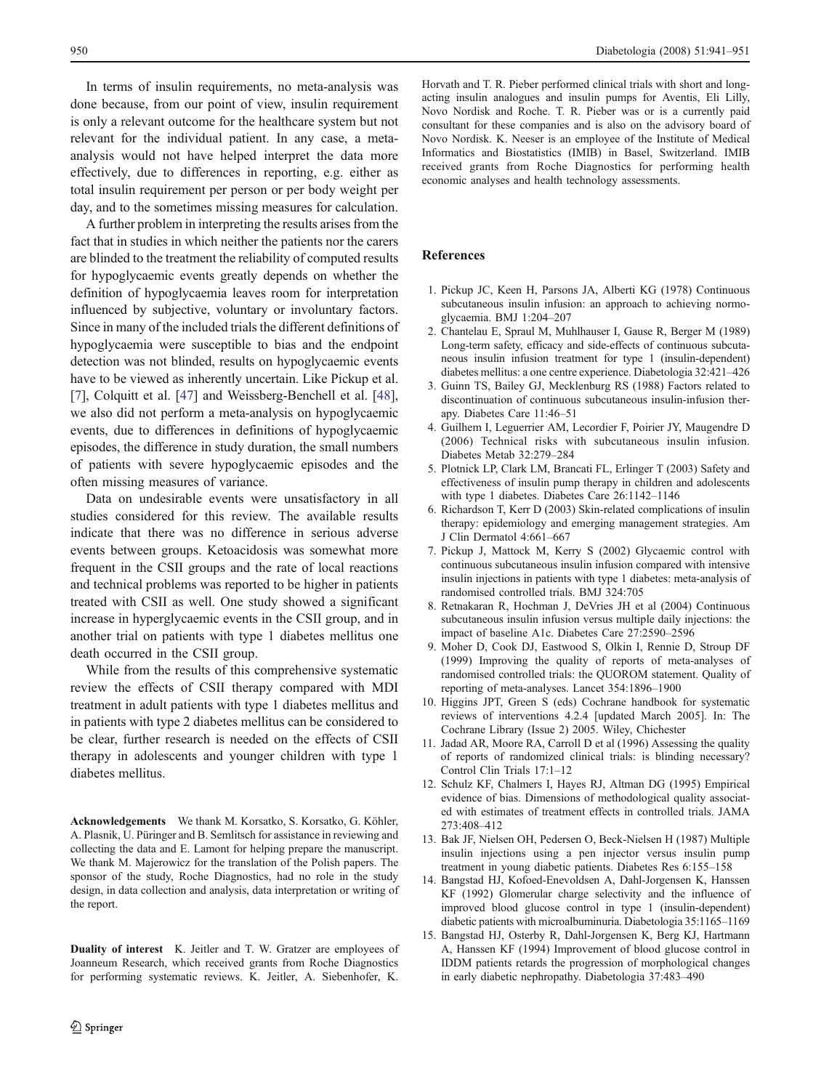<span id="page-9-0"></span>In terms of insulin requirements, no meta-analysis was done because, from our point of view, insulin requirement is only a relevant outcome for the healthcare system but not relevant for the individual patient. In any case, a metaanalysis would not have helped interpret the data more effectively, due to differences in reporting, e.g. either as total insulin requirement per person or per body weight per day, and to the sometimes missing measures for calculation.

A further problem in interpreting the results arises from the fact that in studies in which neither the patients nor the carers are blinded to the treatment the reliability of computed results for hypoglycaemic events greatly depends on whether the definition of hypoglycaemia leaves room for interpretation influenced by subjective, voluntary or involuntary factors. Since in many of the included trials the different definitions of hypoglycaemia were susceptible to bias and the endpoint detection was not blinded, results on hypoglycaemic events have to be viewed as inherently uncertain. Like Pickup et al. [7], Colquitt et al. [[47](#page-10-0)] and Weissberg-Benchell et al. [[48](#page-10-0)], we also did not perform a meta-analysis on hypoglycaemic events, due to differences in definitions of hypoglycaemic episodes, the difference in study duration, the small numbers of patients with severe hypoglycaemic episodes and the often missing measures of variance.

Data on undesirable events were unsatisfactory in all studies considered for this review. The available results indicate that there was no difference in serious adverse events between groups. Ketoacidosis was somewhat more frequent in the CSII groups and the rate of local reactions and technical problems was reported to be higher in patients treated with CSII as well. One study showed a significant increase in hyperglycaemic events in the CSII group, and in another trial on patients with type 1 diabetes mellitus one death occurred in the CSII group.

While from the results of this comprehensive systematic review the effects of CSII therapy compared with MDI treatment in adult patients with type 1 diabetes mellitus and in patients with type 2 diabetes mellitus can be considered to be clear, further research is needed on the effects of CSII therapy in adolescents and younger children with type 1 diabetes mellitus.

Acknowledgements We thank M. Korsatko, S. Korsatko, G. Köhler, A. Plasnik, U. Püringer and B. Semlitsch for assistance in reviewing and collecting the data and E. Lamont for helping prepare the manuscript. We thank M. Majerowicz for the translation of the Polish papers. The sponsor of the study, Roche Diagnostics, had no role in the study design, in data collection and analysis, data interpretation or writing of the report.

Duality of interest K. Jeitler and T. W. Gratzer are employees of Joanneum Research, which received grants from Roche Diagnostics for performing systematic reviews. K. Jeitler, A. Siebenhofer, K.

Horvath and T. R. Pieber performed clinical trials with short and longacting insulin analogues and insulin pumps for Aventis, Eli Lilly, Novo Nordisk and Roche. T. R. Pieber was or is a currently paid consultant for these companies and is also on the advisory board of Novo Nordisk. K. Neeser is an employee of the Institute of Medical Informatics and Biostatistics (IMIB) in Basel, Switzerland. IMIB received grants from Roche Diagnostics for performing health economic analyses and health technology assessments.

## References

- 1. Pickup JC, Keen H, Parsons JA, Alberti KG (1978) Continuous subcutaneous insulin infusion: an approach to achieving normoglycaemia. BMJ 1:204–207
- 2. Chantelau E, Spraul M, Muhlhauser I, Gause R, Berger M (1989) Long-term safety, efficacy and side-effects of continuous subcutaneous insulin infusion treatment for type 1 (insulin-dependent) diabetes mellitus: a one centre experience. Diabetologia 32:421–426
- 3. Guinn TS, Bailey GJ, Mecklenburg RS (1988) Factors related to discontinuation of continuous subcutaneous insulin-infusion therapy. Diabetes Care 11:46–51
- 4. Guilhem I, Leguerrier AM, Lecordier F, Poirier JY, Maugendre D (2006) Technical risks with subcutaneous insulin infusion. Diabetes Metab 32:279–284
- 5. Plotnick LP, Clark LM, Brancati FL, Erlinger T (2003) Safety and effectiveness of insulin pump therapy in children and adolescents with type 1 diabetes. Diabetes Care 26:1142–1146
- 6. Richardson T, Kerr D (2003) Skin-related complications of insulin therapy: epidemiology and emerging management strategies. Am J Clin Dermatol 4:661–667
- 7. Pickup J, Mattock M, Kerry S (2002) Glycaemic control with continuous subcutaneous insulin infusion compared with intensive insulin injections in patients with type 1 diabetes: meta-analysis of randomised controlled trials. BMJ 324:705
- 8. Retnakaran R, Hochman J, DeVries JH et al (2004) Continuous subcutaneous insulin infusion versus multiple daily injections: the impact of baseline A1c. Diabetes Care 27:2590–2596
- 9. Moher D, Cook DJ, Eastwood S, Olkin I, Rennie D, Stroup DF (1999) Improving the quality of reports of meta-analyses of randomised controlled trials: the QUOROM statement. Quality of reporting of meta-analyses. Lancet 354:1896–1900
- 10. Higgins JPT, Green S (eds) Cochrane handbook for systematic reviews of interventions 4.2.4 [updated March 2005]. In: The Cochrane Library (Issue 2) 2005. Wiley, Chichester
- 11. Jadad AR, Moore RA, Carroll D et al (1996) Assessing the quality of reports of randomized clinical trials: is blinding necessary? Control Clin Trials 17:1–12
- 12. Schulz KF, Chalmers I, Hayes RJ, Altman DG (1995) Empirical evidence of bias. Dimensions of methodological quality associated with estimates of treatment effects in controlled trials. JAMA 273:408–412
- 13. Bak JF, Nielsen OH, Pedersen O, Beck-Nielsen H (1987) Multiple insulin injections using a pen injector versus insulin pump treatment in young diabetic patients. Diabetes Res 6:155–158
- 14. Bangstad HJ, Kofoed-Enevoldsen A, Dahl-Jorgensen K, Hanssen KF (1992) Glomerular charge selectivity and the influence of improved blood glucose control in type 1 (insulin-dependent) diabetic patients with microalbuminuria. Diabetologia 35:1165–1169
- 15. Bangstad HJ, Osterby R, Dahl-Jorgensen K, Berg KJ, Hartmann A, Hanssen KF (1994) Improvement of blood glucose control in IDDM patients retards the progression of morphological changes in early diabetic nephropathy. Diabetologia 37:483–490